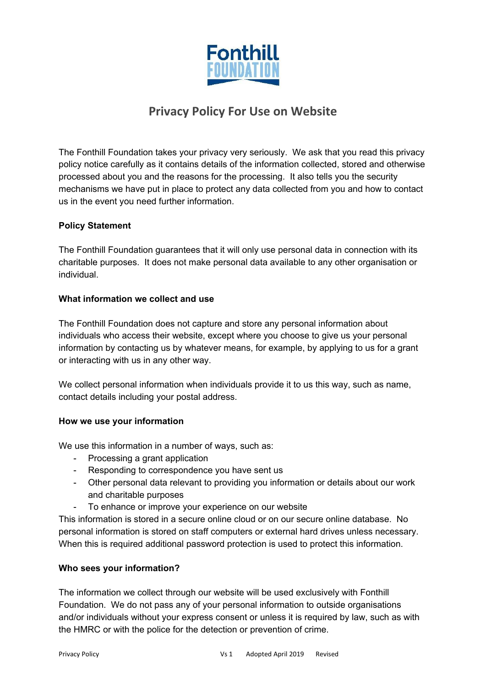

# **Privacy Policy For Use on Website**

The Fonthill Foundation takes your privacy very seriously. We ask that you read this privacy policy notice carefully as it contains details of the information collected, stored and otherwise processed about you and the reasons for the processing. It also tells you the security mechanisms we have put in place to protect any data collected from you and how to contact us in the event you need further information.

# **Policy Statement**

The Fonthill Foundation guarantees that it will only use personal data in connection with its charitable purposes. It does not make personal data available to any other organisation or individual.

#### **What information we collect and use**

The Fonthill Foundation does not capture and store any personal information about individuals who access their website, except where you choose to give us your personal information by contacting us by whatever means, for example, by applying to us for a grant or interacting with us in any other way.

We collect personal information when individuals provide it to us this way, such as name, contact details including your postal address.

#### **How we use your information**

We use this information in a number of ways, such as:

- Processing a grant application
- Responding to correspondence you have sent us
- Other personal data relevant to providing you information or details about our work and charitable purposes
- To enhance or improve your experience on our website

This information is stored in a secure online cloud or on our secure online database. No personal information is stored on staff computers or external hard drives unless necessary. When this is required additional password protection is used to protect this information.

# **Who sees your information?**

The information we collect through our website will be used exclusively with Fonthill Foundation. We do not pass any of your personal information to outside organisations and/or individuals without your express consent or unless it is required by law, such as with the HMRC or with the police for the detection or prevention of crime.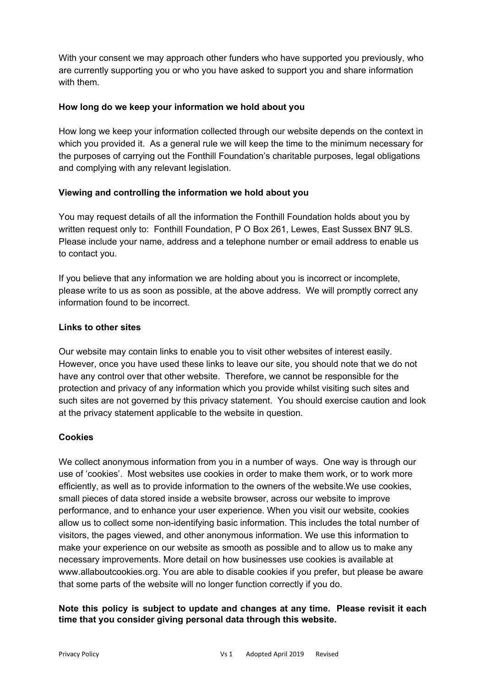With your consent we may approach other funders who have supported you previously, who are currently supporting you or who you have asked to support you and share information with them.

### **How long do we keep your information we hold about you**

How long we keep your information collected through our website depends on the context in which you provided it. As a general rule we will keep the time to the minimum necessary for the purposes of carrying out the Fonthill Foundation's charitable purposes, legal obligations and complying with any relevant legislation.

# **Viewing and controlling the information we hold about you**

You may request details of all the information the Fonthill Foundation holds about you by written request only to: Fonthill Foundation, P O Box 261, Lewes, East Sussex BN7 9LS. Please include your name, address and a telephone number or email address to enable us to contact you.

If you believe that any information we are holding about you is incorrect or incomplete, please write to us as soon as possible, at the above address. We will promptly correct any information found to be incorrect.

#### **Links to other sites**

Our website may contain links to enable you to visit other websites of interest easily. However, once you have used these links to leave our site, you should note that we do not have any control over that other website. Therefore, we cannot be responsible for the protection and privacy of any information which you provide whilst visiting such sites and such sites are not governed by this privacy statement. You should exercise caution and look at the privacy statement applicable to the website in question.

#### **Cookies**

We collect anonymous information from you in a number of ways. One way is through our use of 'cookies'. Most websites use cookies in order to make them work, or to work more efficiently, as well as to provide information to the owners of the website.We use cookies, small pieces of data stored inside a website browser, across our website to improve performance, and to enhance your user experience. When you visit our website, cookies allow us to collect some non-identifying basic information. This includes the total number of visitors, the pages viewed, and other anonymous information. We use this information to make your experience on our website as smooth as possible and to allow us to make any necessary improvements. More detail on how businesses use cookies is available at www.allaboutcookies.org. You are able to disable cookies if you prefer, but please be aware that some parts of the website will no longer function correctly if you do.

# **Note this policy is subject to update and changes at any time. Please revisit it each time that you consider giving personal data through this website.**